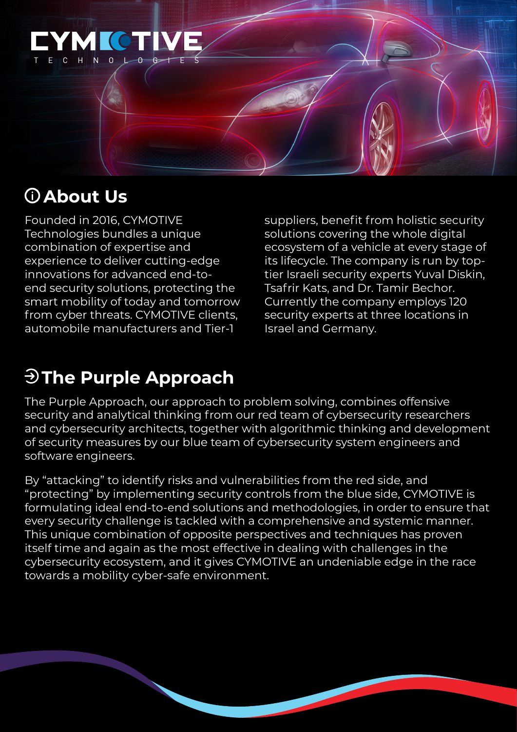

# **About Us**

Founded in 2016, CYMOTIVE Technologies bundles a unique combination of expertise and experience to deliver cutting-edge innovations for advanced end-toend security solutions, protecting the smart mobility of today and tomorrow from cyber threats. CYMOTIVE clients, automobile manufacturers and Tier-1

suppliers, benefit from holistic security solutions covering the whole digital ecosystem of a vehicle at every stage of its lifecycle. The company is run by toptier Israeli security experts Yuval Diskin, Tsafrir Kats, and Dr. Tamir Bechor. Currently the company employs 120 security experts at three locations in Israel and Germany.

# **The Purple Approach**

The Purple Approach, our approach to problem solving, combines offensive security and analytical thinking from our red team of cybersecurity researchers and cybersecurity architects, together with algorithmic thinking and development of security measures by our blue team of cybersecurity system engineers and software engineers.

By "attacking" to identify risks and vulnerabilities from the red side, and "protecting" by implementing security controls from the blue side, CYMOTIVE is formulating ideal end-to-end solutions and methodologies, in order to ensure that every security challenge is tackled with a comprehensive and systemic manner. This unique combination of opposite perspectives and techniques has proven itself time and again as the most effective in dealing with challenges in the cybersecurity ecosystem, and it gives CYMOTIVE an undeniable edge in the race towards a mobility cyber-safe environment.